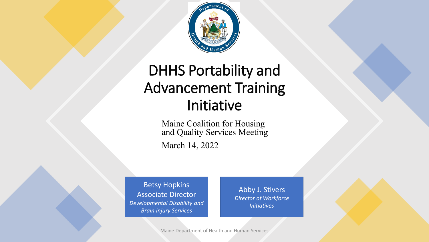

### DHHS Portability and Advancement Training Initiative

Maine Coalition for Housing and Quality Services Meeting

March 14, 2022

Betsy Hopkins Associate Director *Developmental Disability and Brain Injury Services*

Abby J. Stivers *Director of Workforce Initiatives* 

Maine Department of Health and Human Services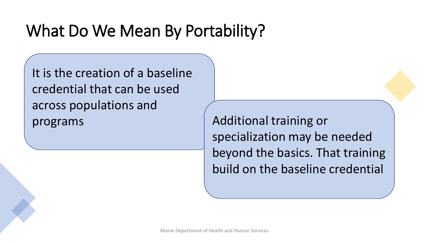## What Do We Mean By Portability?

It is the creation of a baseline credential that can be used across populations and programs Additional training or

specialization may be needed beyond the basics. That training build on the baseline credential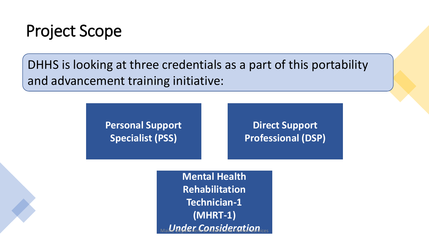

DHHS is looking at three credentials as a part of this portability and advancement training initiative:

> **Personal Support Specialist (PSS)**

**Direct Support Professional (DSP)**

**Mental Health Rehabilitation Technician-1 (MHRT-1)**  $Under$  Consideration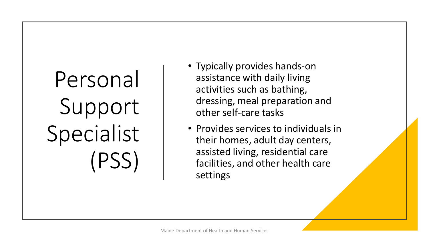# Personal Support Specialist (PSS)

- Typically provides hands-on assistance with daily living activities such as bathing, dressing, meal preparation and other self-care tasks
- Provides services to individuals in their homes, adult day centers, assisted living, residential care facilities, and other health care settings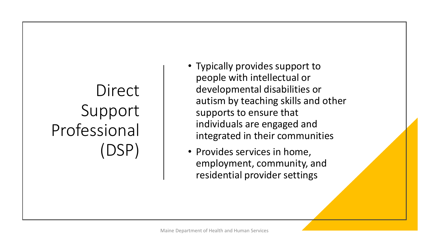## **Direct** Support Professional (DSP)

- Typically provides support to people with intellectual or developmental disabilities or autism by teaching skills and other supports to ensure that individuals are engaged and integrated in their communities
- Provides services in home, employment, community, and residential provider settings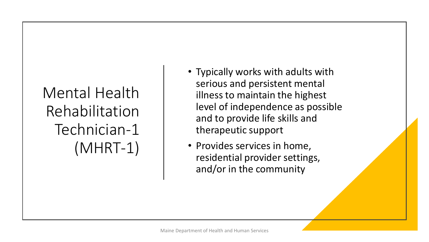## Mental Health Rehabilitation Technician-1 (MHRT-1)

- Typically works with adults with serious and persistent mental illness to maintain the highest level of independence as possible and to provide life skills and therapeutic support
- Provides services in home, residential provider settings, and/or in the community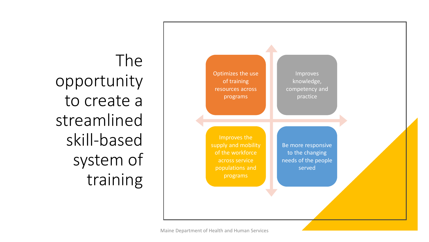The opportunity to create a streamlined skill-based system of training

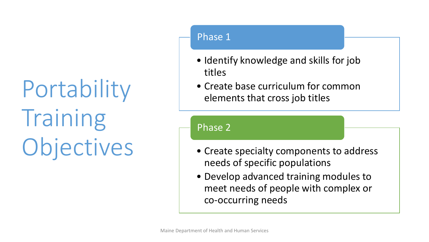# Portability Training Objectives

#### Phase 1

- Identify knowledge and skills for job titles
- Create base curriculum for common elements that cross job titles

#### Phase 2

- Create specialty components to address needs of specific populations
- Develop advanced training modules to meet needs of people with complex or co-occurring needs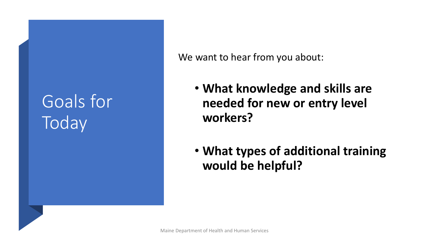## Goals for **Today**

We want to hear from you about:

- **What knowledge and skills are needed for new or entry level workers?**
- **What types of additional training would be helpful?**